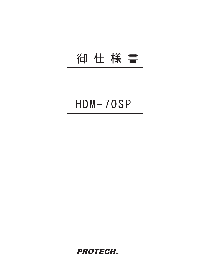## 御仕様書

## $HDM-70SP$

**PROTECH®**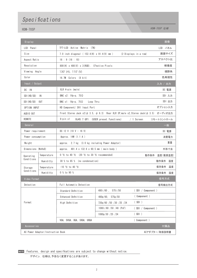## Specifications

HDM-70SP  $\pm$ 株

| 画像<br>Display                                      |             |                                                                                                      |                          |                    |            |         |
|----------------------------------------------------|-------------|------------------------------------------------------------------------------------------------------|--------------------------|--------------------|------------|---------|
| LCD Panel                                          |             | TFT-LCD Active Matrix (TN)                                                                           |                          |                    | LCD パネル    |         |
| Size                                               |             | 7.0 inch diagonal (152.4(H) x 91.4(V) mm)<br>(2 Displays in a row)                                   |                          | 画面サイズ              |            |         |
| Aspect Ratio                                       |             | 16:9(16:10)                                                                                          |                          | アスペクト比             |            |         |
| Resolution                                         |             | 800 (H) x 480 (V) x 3 (RGB). E?ective Pixels                                                         |                          |                    | 解像度        |         |
| Viewing Angle                                      |             | 130 $^{\circ}$ (H), 110 $^{\circ}$ (V)                                                               |                          |                    | 視野角        |         |
| Color                                              |             | 16.7M Colors (8 bit)                                                                                 |                          |                    | 色再現性       |         |
| Input / Output                                     |             |                                                                                                      |                          |                    |            | 入力 / 出力 |
| DC IN                                              |             | XLR 4-pin (male)                                                                                     |                          |                    | DC 電源      |         |
| SDI(HD/SD)<br>1 N                                  |             | BNC $x2: 1Vp-p$ , 75 $\Omega$                                                                        |                          |                    | SDI 入力     |         |
| $SDI$ (HD/SD)<br>0UT                               |             | BNC $x1$ : 1Vp-p. 75 $\Omega$<br>Loop Thru                                                           |                          |                    | SDI 出力     |         |
| OPTION INPUT                                       |             | HD Component/ DVI Input Port                                                                         |                          |                    | オプション入力    |         |
| AUDIO OUT                                          |             | Front Stereo Jack x2( $\phi$ 3.5, $\phi$ 6.3) Rear XLR 3P, male x2, Stereo Jack( $\phi$ 3.5) オーディオ出力 |                          |                    |            |         |
| REMOTE                                             |             | $8-p$ in $x1$<br>RJ45 7 GPI<br>(USER preset functions)<br>$/ 1$ Screen                               |                          |                    | リモートコントロール |         |
| General<br>一般                                      |             |                                                                                                      |                          |                    |            |         |
| Power requirement                                  |             | DC 12 V $(10 V - 16 V)$                                                                              |                          |                    | DC 電源      |         |
| Power consumption                                  |             | Approx. 14W (1.1 A)                                                                                  |                          |                    | 消費電力       |         |
| Weight                                             |             | approx. 2.7 kg (3.0 kg including Power Adaptor)                                                      |                          |                    |            | 重量      |
| Dimensions (WxHxD)                                 |             | approx. 481.4 x 132.6 x 60.5 mm (main body)                                                          |                          |                    | 外形寸法       |         |
| Operating<br>Conditions                            | Temperature | 0 °C to 40 °C (20 °C to 30 °C recommended)                                                           | 動作条件                     |                    | 温度(推奨温度)   |         |
|                                                    | Humiditty   | 30 % to 85 % (no condensation)                                                                       |                          | 動作条件               | 湿度         |         |
| Storage<br>Conditions                              | Temperature | $-10$ °C to 40 °C                                                                                    | 保存条件                     |                    |            | 温度      |
|                                                    | Humiditty   | 0 % to 90 %                                                                                          |                          |                    | 保存条件 湿度    |         |
| Video Format                                       |             |                                                                                                      |                          |                    | 信号方式       |         |
| Detection                                          |             | Full Automatic Detection                                                                             |                          | 信号検出方式             |            |         |
| Format                                             |             | Standard Definition                                                                                  | 575i/50<br>$480i/60$ ,   | (SDI / Component ) |            |         |
|                                                    |             | Enhanced Definition                                                                                  | $480p/60$ .<br>575p/50   | (Component)        |            |         |
|                                                    |             | High Definition                                                                                      | 720p/60 /50 /30 /25 /24  | (SDI)              |            |         |
|                                                    |             |                                                                                                      | $1080i/60 /50 /48$ (PsF) | (SDI / Component ) |            |         |
|                                                    |             |                                                                                                      | 1080p/30 /25 /24         | (SDI)              |            |         |
|                                                    |             | VGA, SVGA, XGA, SXGA, UXGA                                                                           |                          | ( Component )      |            |         |
| 付属品<br>Accessories                                 |             |                                                                                                      |                          |                    |            |         |
| ACアダプター/取扱説明書<br>AC Power Adaptor/Instruction Book |             |                                                                                                      |                          |                    |            |         |

NOTE Features, design and specifications are subject to change without notice. デザイン, 仕様は、予告なく変更することがあります。